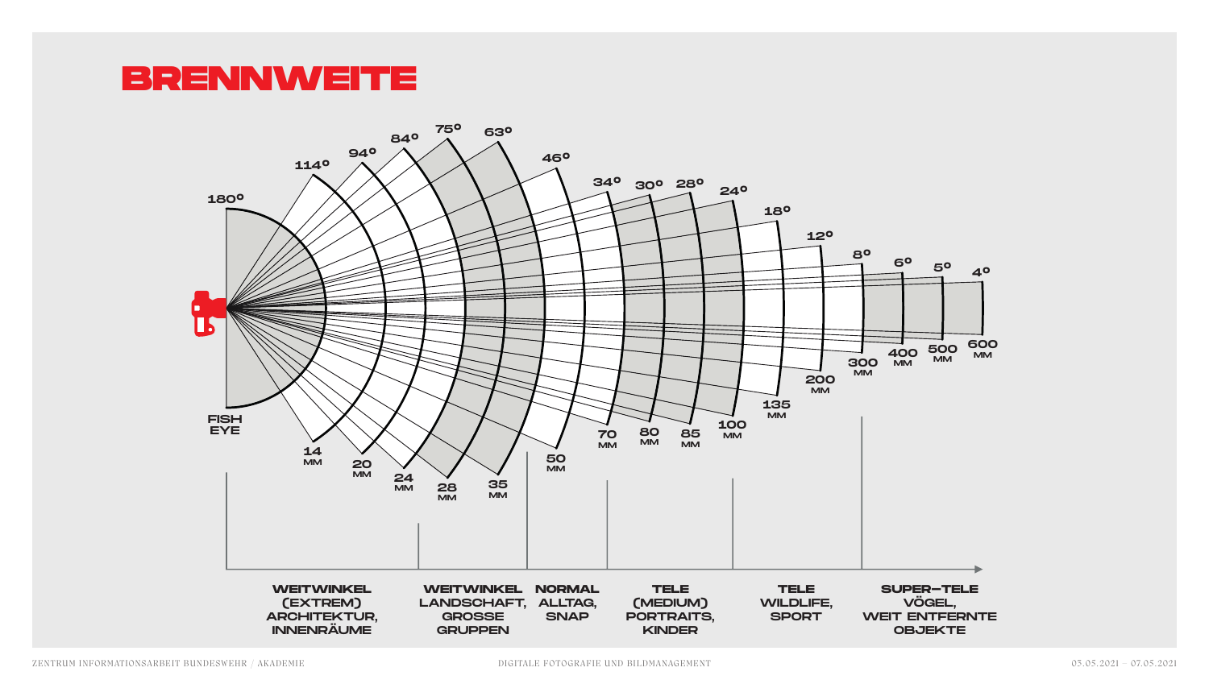